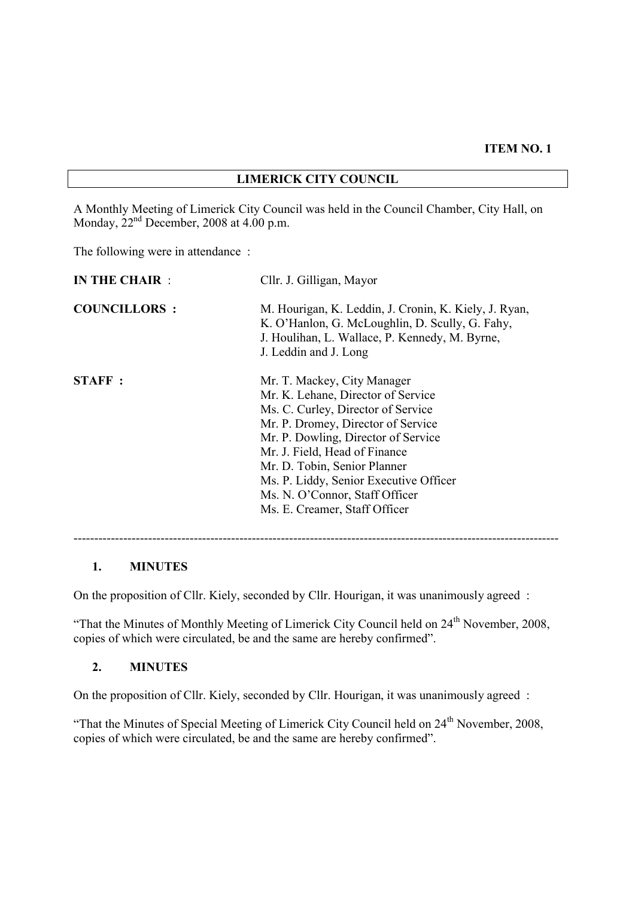# **LIMERICK CITY COUNCIL**

A Monthly Meeting of Limerick City Council was held in the Council Chamber, City Hall, on Monday,  $22<sup>nd</sup>$  December, 2008 at 4.00 p.m.

The following were in attendance :

| <b>IN THE CHAIR:</b> | Cllr. J. Gilligan, Mayor                                                                                                                                                                                                                                                                                                                                           |
|----------------------|--------------------------------------------------------------------------------------------------------------------------------------------------------------------------------------------------------------------------------------------------------------------------------------------------------------------------------------------------------------------|
| <b>COUNCILLORS:</b>  | M. Hourigan, K. Leddin, J. Cronin, K. Kiely, J. Ryan,<br>K. O'Hanlon, G. McLoughlin, D. Scully, G. Fahy,<br>J. Houlihan, L. Wallace, P. Kennedy, M. Byrne,<br>J. Leddin and J. Long                                                                                                                                                                                |
| STAFF:               | Mr. T. Mackey, City Manager<br>Mr. K. Lehane, Director of Service<br>Ms. C. Curley, Director of Service<br>Mr. P. Dromey, Director of Service<br>Mr. P. Dowling, Director of Service<br>Mr. J. Field, Head of Finance<br>Mr. D. Tobin, Senior Planner<br>Ms. P. Liddy, Senior Executive Officer<br>Ms. N. O'Connor, Staff Officer<br>Ms. E. Creamer, Staff Officer |

#### **1. MINUTES**

On the proposition of Cllr. Kiely, seconded by Cllr. Hourigan, it was unanimously agreed :

"That the Minutes of Monthly Meeting of Limerick City Council held on  $24<sup>th</sup>$  November, 2008, copies of which were circulated, be and the same are hereby confirmed".

#### **2. MINUTES**

On the proposition of Cllr. Kiely, seconded by Cllr. Hourigan, it was unanimously agreed :

"That the Minutes of Special Meeting of Limerick City Council held on 24<sup>th</sup> November, 2008, copies of which were circulated, be and the same are hereby confirmed".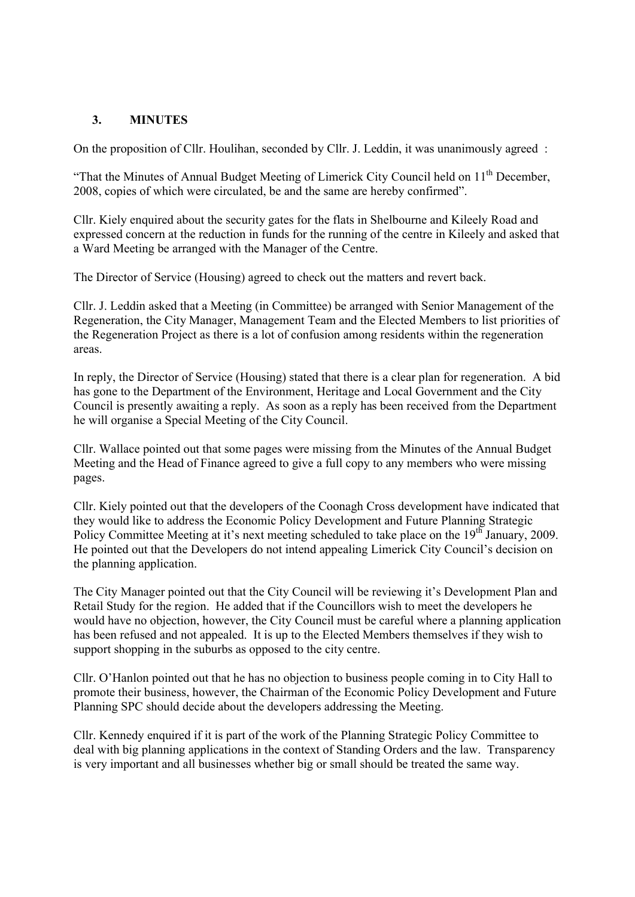### **3. MINUTES**

On the proposition of Cllr. Houlihan, seconded by Cllr. J. Leddin, it was unanimously agreed :

"That the Minutes of Annual Budget Meeting of Limerick City Council held on  $11<sup>th</sup>$  December, 2008, copies of which were circulated, be and the same are hereby confirmed".

Cllr. Kiely enquired about the security gates for the flats in Shelbourne and Kileely Road and expressed concern at the reduction in funds for the running of the centre in Kileely and asked that a Ward Meeting be arranged with the Manager of the Centre.

The Director of Service (Housing) agreed to check out the matters and revert back.

Cllr. J. Leddin asked that a Meeting (in Committee) be arranged with Senior Management of the Regeneration, the City Manager, Management Team and the Elected Members to list priorities of the Regeneration Project as there is a lot of confusion among residents within the regeneration areas.

In reply, the Director of Service (Housing) stated that there is a clear plan for regeneration. A bid has gone to the Department of the Environment, Heritage and Local Government and the City Council is presently awaiting a reply. As soon as a reply has been received from the Department he will organise a Special Meeting of the City Council.

Cllr. Wallace pointed out that some pages were missing from the Minutes of the Annual Budget Meeting and the Head of Finance agreed to give a full copy to any members who were missing pages.

Cllr. Kiely pointed out that the developers of the Coonagh Cross development have indicated that they would like to address the Economic Policy Development and Future Planning Strategic Policy Committee Meeting at it's next meeting scheduled to take place on the 19<sup>th</sup> January, 2009. He pointed out that the Developers do not intend appealing Limerick City Council's decision on the planning application.

The City Manager pointed out that the City Council will be reviewing it's Development Plan and Retail Study for the region. He added that if the Councillors wish to meet the developers he would have no objection, however, the City Council must be careful where a planning application has been refused and not appealed. It is up to the Elected Members themselves if they wish to support shopping in the suburbs as opposed to the city centre.

Cllr. O'Hanlon pointed out that he has no objection to business people coming in to City Hall to promote their business, however, the Chairman of the Economic Policy Development and Future Planning SPC should decide about the developers addressing the Meeting.

Cllr. Kennedy enquired if it is part of the work of the Planning Strategic Policy Committee to deal with big planning applications in the context of Standing Orders and the law. Transparency is very important and all businesses whether big or small should be treated the same way.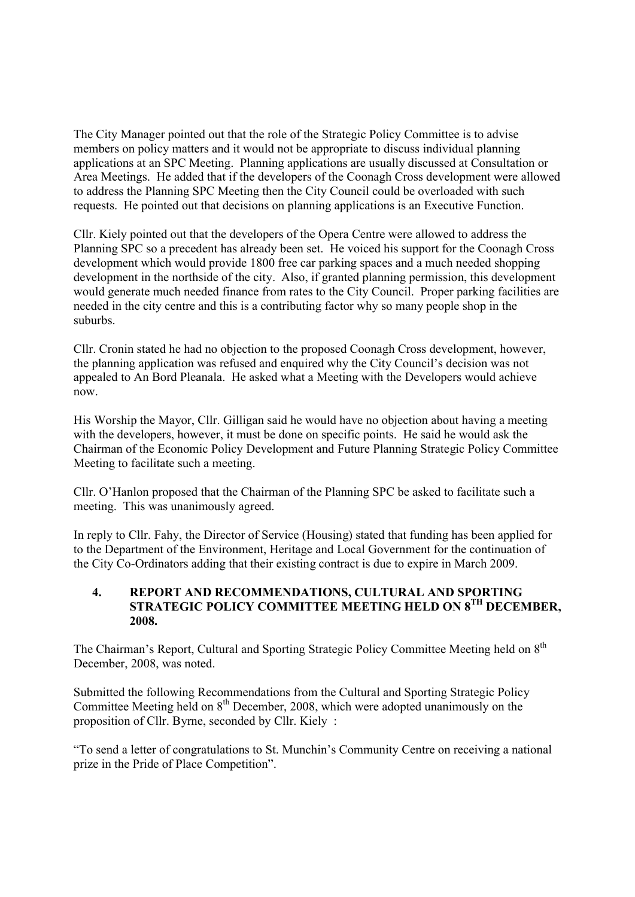The City Manager pointed out that the role of the Strategic Policy Committee is to advise members on policy matters and it would not be appropriate to discuss individual planning applications at an SPC Meeting. Planning applications are usually discussed at Consultation or Area Meetings. He added that if the developers of the Coonagh Cross development were allowed to address the Planning SPC Meeting then the City Council could be overloaded with such requests. He pointed out that decisions on planning applications is an Executive Function.

Cllr. Kiely pointed out that the developers of the Opera Centre were allowed to address the Planning SPC so a precedent has already been set. He voiced his support for the Coonagh Cross development which would provide 1800 free car parking spaces and a much needed shopping development in the northside of the city. Also, if granted planning permission, this development would generate much needed finance from rates to the City Council. Proper parking facilities are needed in the city centre and this is a contributing factor why so many people shop in the suburbs.

Cllr. Cronin stated he had no objection to the proposed Coonagh Cross development, however, the planning application was refused and enquired why the City Council's decision was not appealed to An Bord Pleanala. He asked what a Meeting with the Developers would achieve now.

His Worship the Mayor, Cllr. Gilligan said he would have no objection about having a meeting with the developers, however, it must be done on specific points. He said he would ask the Chairman of the Economic Policy Development and Future Planning Strategic Policy Committee Meeting to facilitate such a meeting.

Cllr. O'Hanlon proposed that the Chairman of the Planning SPC be asked to facilitate such a meeting. This was unanimously agreed.

In reply to Cllr. Fahy, the Director of Service (Housing) stated that funding has been applied for to the Department of the Environment, Heritage and Local Government for the continuation of the City Co-Ordinators adding that their existing contract is due to expire in March 2009.

### **4. REPORT AND RECOMMENDATIONS, CULTURAL AND SPORTING STRATEGIC POLICY COMMITTEE MEETING HELD ON 8TH DECEMBER, 2008.**

The Chairman's Report, Cultural and Sporting Strategic Policy Committee Meeting held on 8<sup>th</sup> December, 2008, was noted.

Submitted the following Recommendations from the Cultural and Sporting Strategic Policy Committee Meeting held on  $8<sup>th</sup>$  December, 2008, which were adopted unanimously on the proposition of Cllr. Byrne, seconded by Cllr. Kiely :

"To send a letter of congratulations to St. Munchin's Community Centre on receiving a national prize in the Pride of Place Competition".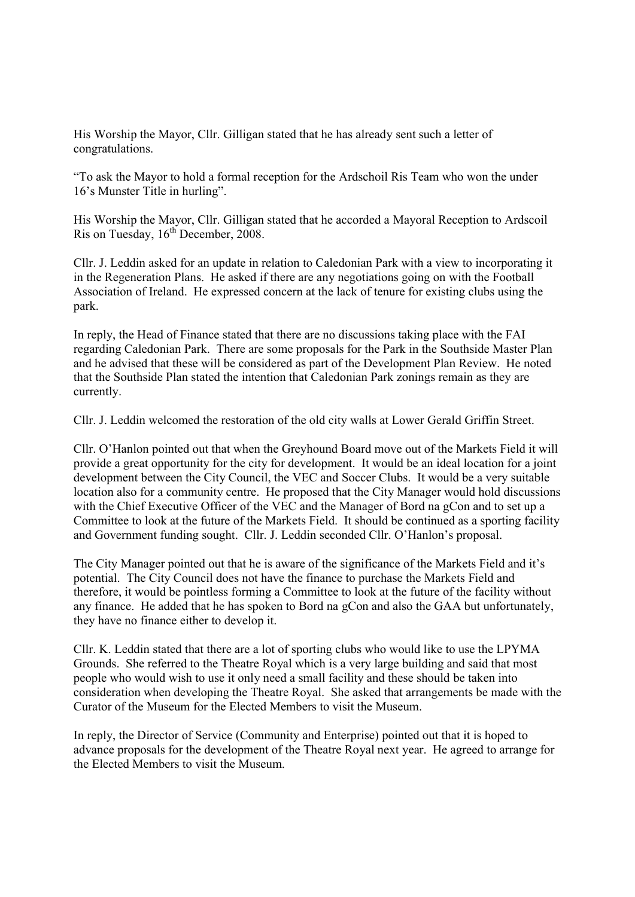His Worship the Mayor, Cllr. Gilligan stated that he has already sent such a letter of congratulations.

"To ask the Mayor to hold a formal reception for the Ardschoil Ris Team who won the under 16's Munster Title in hurling".

His Worship the Mayor, Cllr. Gilligan stated that he accorded a Mayoral Reception to Ardscoil Ris on Tuesday, 16<sup>th</sup> December, 2008.

Cllr. J. Leddin asked for an update in relation to Caledonian Park with a view to incorporating it in the Regeneration Plans. He asked if there are any negotiations going on with the Football Association of Ireland. He expressed concern at the lack of tenure for existing clubs using the park.

In reply, the Head of Finance stated that there are no discussions taking place with the FAI regarding Caledonian Park. There are some proposals for the Park in the Southside Master Plan and he advised that these will be considered as part of the Development Plan Review. He noted that the Southside Plan stated the intention that Caledonian Park zonings remain as they are currently.

Cllr. J. Leddin welcomed the restoration of the old city walls at Lower Gerald Griffin Street.

Cllr. O'Hanlon pointed out that when the Greyhound Board move out of the Markets Field it will provide a great opportunity for the city for development. It would be an ideal location for a joint development between the City Council, the VEC and Soccer Clubs. It would be a very suitable location also for a community centre. He proposed that the City Manager would hold discussions with the Chief Executive Officer of the VEC and the Manager of Bord na gCon and to set up a Committee to look at the future of the Markets Field. It should be continued as a sporting facility and Government funding sought. Cllr. J. Leddin seconded Cllr. O'Hanlon's proposal.

The City Manager pointed out that he is aware of the significance of the Markets Field and it's potential. The City Council does not have the finance to purchase the Markets Field and therefore, it would be pointless forming a Committee to look at the future of the facility without any finance. He added that he has spoken to Bord na gCon and also the GAA but unfortunately, they have no finance either to develop it.

Cllr. K. Leddin stated that there are a lot of sporting clubs who would like to use the LPYMA Grounds. She referred to the Theatre Royal which is a very large building and said that most people who would wish to use it only need a small facility and these should be taken into consideration when developing the Theatre Royal. She asked that arrangements be made with the Curator of the Museum for the Elected Members to visit the Museum.

In reply, the Director of Service (Community and Enterprise) pointed out that it is hoped to advance proposals for the development of the Theatre Royal next year. He agreed to arrange for the Elected Members to visit the Museum.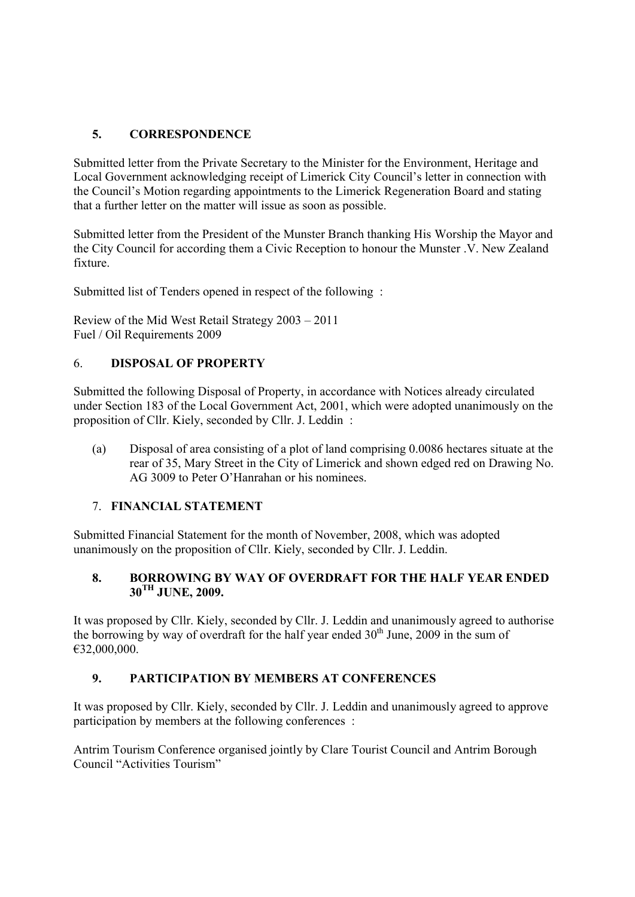# **5. CORRESPONDENCE**

Submitted letter from the Private Secretary to the Minister for the Environment, Heritage and Local Government acknowledging receipt of Limerick City Council's letter in connection with the Council's Motion regarding appointments to the Limerick Regeneration Board and stating that a further letter on the matter will issue as soon as possible.

Submitted letter from the President of the Munster Branch thanking His Worship the Mayor and the City Council for according them a Civic Reception to honour the Munster .V. New Zealand fixture.

Submitted list of Tenders opened in respect of the following :

Review of the Mid West Retail Strategy 2003 – 2011 Fuel / Oil Requirements 2009

## 6. **DISPOSAL OF PROPERTY**

Submitted the following Disposal of Property, in accordance with Notices already circulated under Section 183 of the Local Government Act, 2001, which were adopted unanimously on the proposition of Cllr. Kiely, seconded by Cllr. J. Leddin :

(a) Disposal of area consisting of a plot of land comprising 0.0086 hectares situate at the rear of 35, Mary Street in the City of Limerick and shown edged red on Drawing No. AG 3009 to Peter O'Hanrahan or his nominees.

#### 7. **FINANCIAL STATEMENT**

Submitted Financial Statement for the month of November, 2008, which was adopted unanimously on the proposition of Cllr. Kiely, seconded by Cllr. J. Leddin.

### **8. BORROWING BY WAY OF OVERDRAFT FOR THE HALF YEAR ENDED 30TH JUNE, 2009.**

It was proposed by Cllr. Kiely, seconded by Cllr. J. Leddin and unanimously agreed to authorise the borrowing by way of overdraft for the half year ended  $30<sup>th</sup>$  June, 2009 in the sum of €32,000,000.

## **9. PARTICIPATION BY MEMBERS AT CONFERENCES**

It was proposed by Cllr. Kiely, seconded by Cllr. J. Leddin and unanimously agreed to approve participation by members at the following conferences :

Antrim Tourism Conference organised jointly by Clare Tourist Council and Antrim Borough Council "Activities Tourism"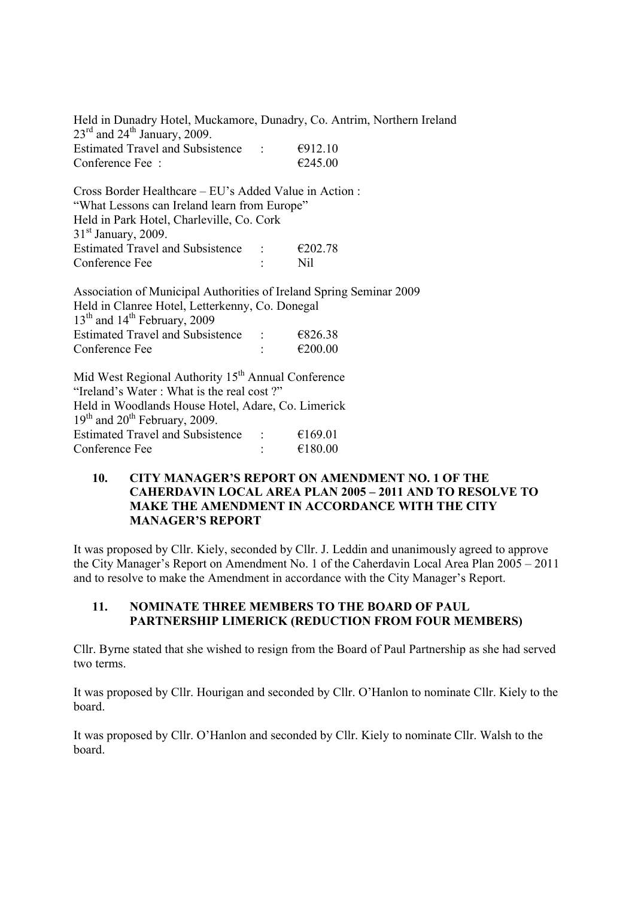Held in Dunadry Hotel, Muckamore, Dunadry, Co. Antrim, Northern Ireland  $23^{\text{rd}}$  and  $24^{\text{th}}$  January, 2009. Estimated Travel and Subsistence :  $\epsilon$ 912.10 Conference Fee :  $\epsilon$  245.00

Cross Border Healthcare – EU's Added Value in Action : "What Lessons can Ireland learn from Europe" Held in Park Hotel, Charleville, Co. Cork  $31<sup>st</sup>$  January, 2009. Estimated Travel and Subsistence :  $\epsilon$  £202.78 Conference Fee : Nil

Association of Municipal Authorities of Ireland Spring Seminar 2009 Held in Clanree Hotel, Letterkenny, Co. Donegal  $13<sup>th</sup>$  and  $14<sup>th</sup>$  February, 2009 Estimated Travel and Subsistence :  $\epsilon$ 826.38 Conference Fee  $\approx$  :  $\epsilon$ 200.00

Mid West Regional Authority  $15<sup>th</sup>$  Annual Conference "Ireland's Water : What is the real cost ?" Held in Woodlands House Hotel, Adare, Co. Limerick  $19<sup>th</sup>$  and  $20<sup>th</sup>$  February, 2009. Estimated Travel and Subsistence :  $\epsilon$  169.01 Conference Fee  $\epsilon$  :  $\epsilon$  180.00

#### **10. CITY MANAGER'S REPORT ON AMENDMENT NO. 1 OF THE CAHERDAVIN LOCAL AREA PLAN 2005 – 2011 AND TO RESOLVE TO MAKE THE AMENDMENT IN ACCORDANCE WITH THE CITY MANAGER'S REPORT**

It was proposed by Cllr. Kiely, seconded by Cllr. J. Leddin and unanimously agreed to approve the City Manager's Report on Amendment No. 1 of the Caherdavin Local Area Plan 2005 – 2011 and to resolve to make the Amendment in accordance with the City Manager's Report.

#### **11. NOMINATE THREE MEMBERS TO THE BOARD OF PAUL PARTNERSHIP LIMERICK (REDUCTION FROM FOUR MEMBERS)**

Cllr. Byrne stated that she wished to resign from the Board of Paul Partnership as she had served two terms.

It was proposed by Cllr. Hourigan and seconded by Cllr. O'Hanlon to nominate Cllr. Kiely to the board.

It was proposed by Cllr. O'Hanlon and seconded by Cllr. Kiely to nominate Cllr. Walsh to the board.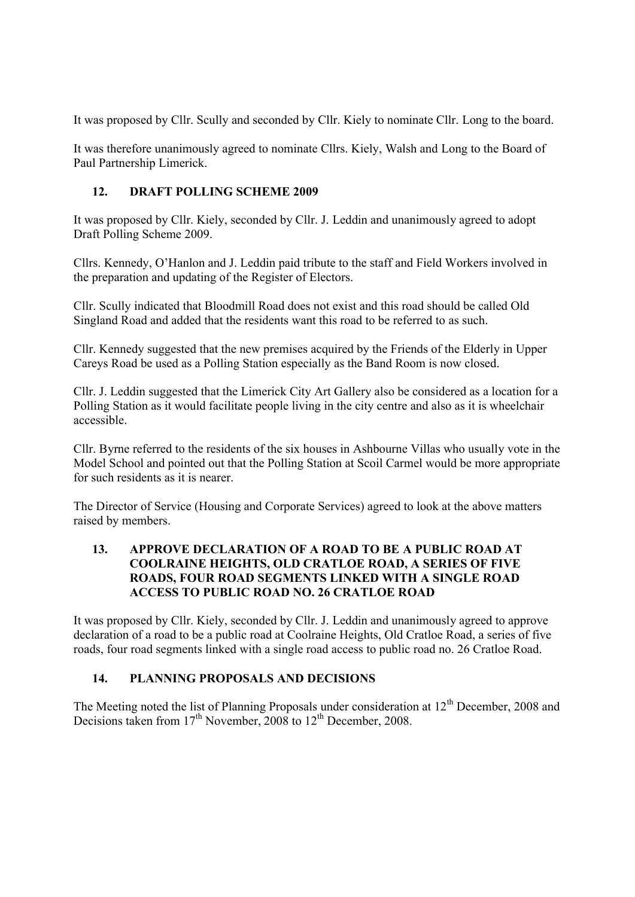It was proposed by Cllr. Scully and seconded by Cllr. Kiely to nominate Cllr. Long to the board.

It was therefore unanimously agreed to nominate Cllrs. Kiely, Walsh and Long to the Board of Paul Partnership Limerick.

## **12. DRAFT POLLING SCHEME 2009**

It was proposed by Cllr. Kiely, seconded by Cllr. J. Leddin and unanimously agreed to adopt Draft Polling Scheme 2009.

Cllrs. Kennedy, O'Hanlon and J. Leddin paid tribute to the staff and Field Workers involved in the preparation and updating of the Register of Electors.

Cllr. Scully indicated that Bloodmill Road does not exist and this road should be called Old Singland Road and added that the residents want this road to be referred to as such.

Cllr. Kennedy suggested that the new premises acquired by the Friends of the Elderly in Upper Careys Road be used as a Polling Station especially as the Band Room is now closed.

Cllr. J. Leddin suggested that the Limerick City Art Gallery also be considered as a location for a Polling Station as it would facilitate people living in the city centre and also as it is wheelchair accessible.

Cllr. Byrne referred to the residents of the six houses in Ashbourne Villas who usually vote in the Model School and pointed out that the Polling Station at Scoil Carmel would be more appropriate for such residents as it is nearer.

The Director of Service (Housing and Corporate Services) agreed to look at the above matters raised by members.

### **13. APPROVE DECLARATION OF A ROAD TO BE A PUBLIC ROAD AT COOLRAINE HEIGHTS, OLD CRATLOE ROAD, A SERIES OF FIVE ROADS, FOUR ROAD SEGMENTS LINKED WITH A SINGLE ROAD ACCESS TO PUBLIC ROAD NO. 26 CRATLOE ROAD**

It was proposed by Cllr. Kiely, seconded by Cllr. J. Leddin and unanimously agreed to approve declaration of a road to be a public road at Coolraine Heights, Old Cratloe Road, a series of five roads, four road segments linked with a single road access to public road no. 26 Cratloe Road.

## **14. PLANNING PROPOSALS AND DECISIONS**

The Meeting noted the list of Planning Proposals under consideration at 12<sup>th</sup> December, 2008 and Decisions taken from  $17<sup>th</sup>$  November, 2008 to  $12<sup>th</sup>$  December, 2008.